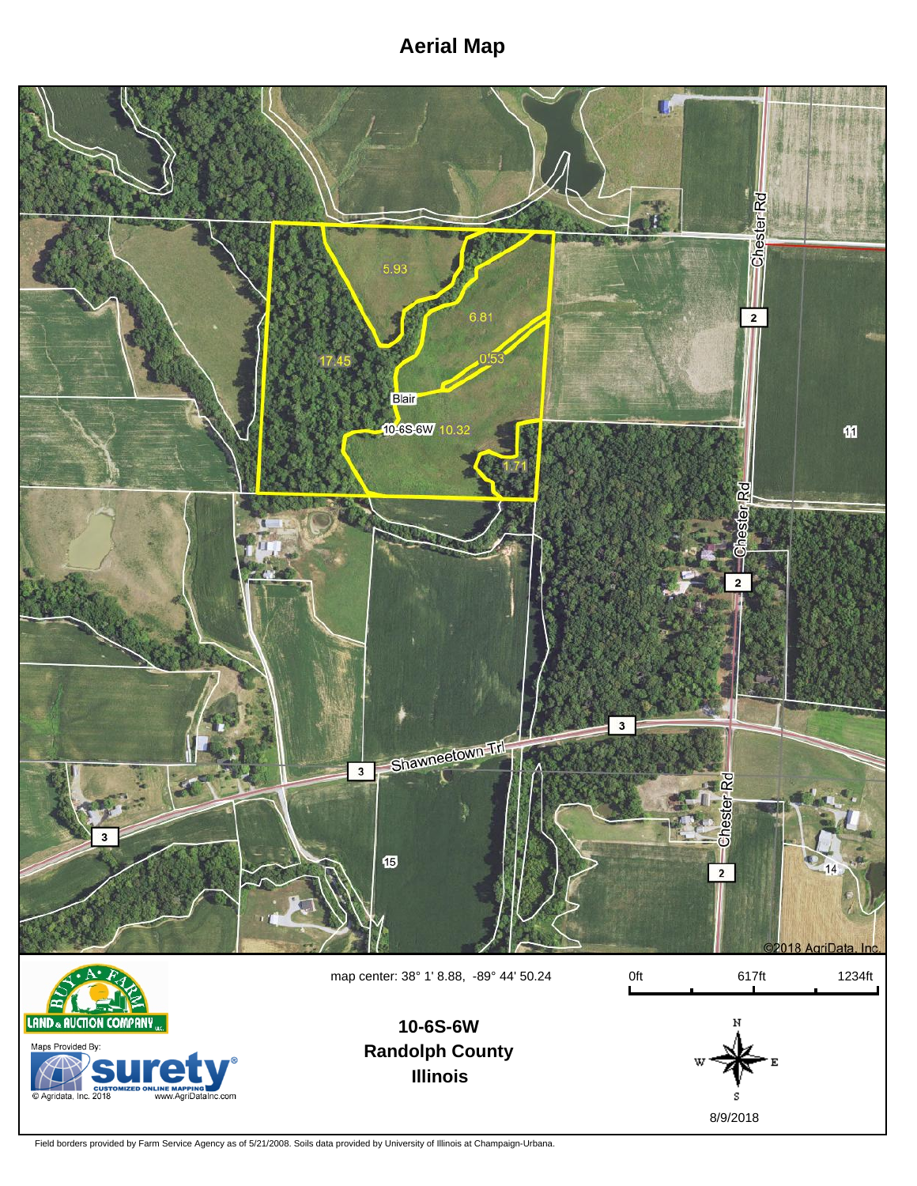## **Aerial Map**





**Randolph County Illinois**



Field borders provided by Farm Service Agency as of 5/21/2008. Soils data provided by University of Illinois at Champaign-Urbana.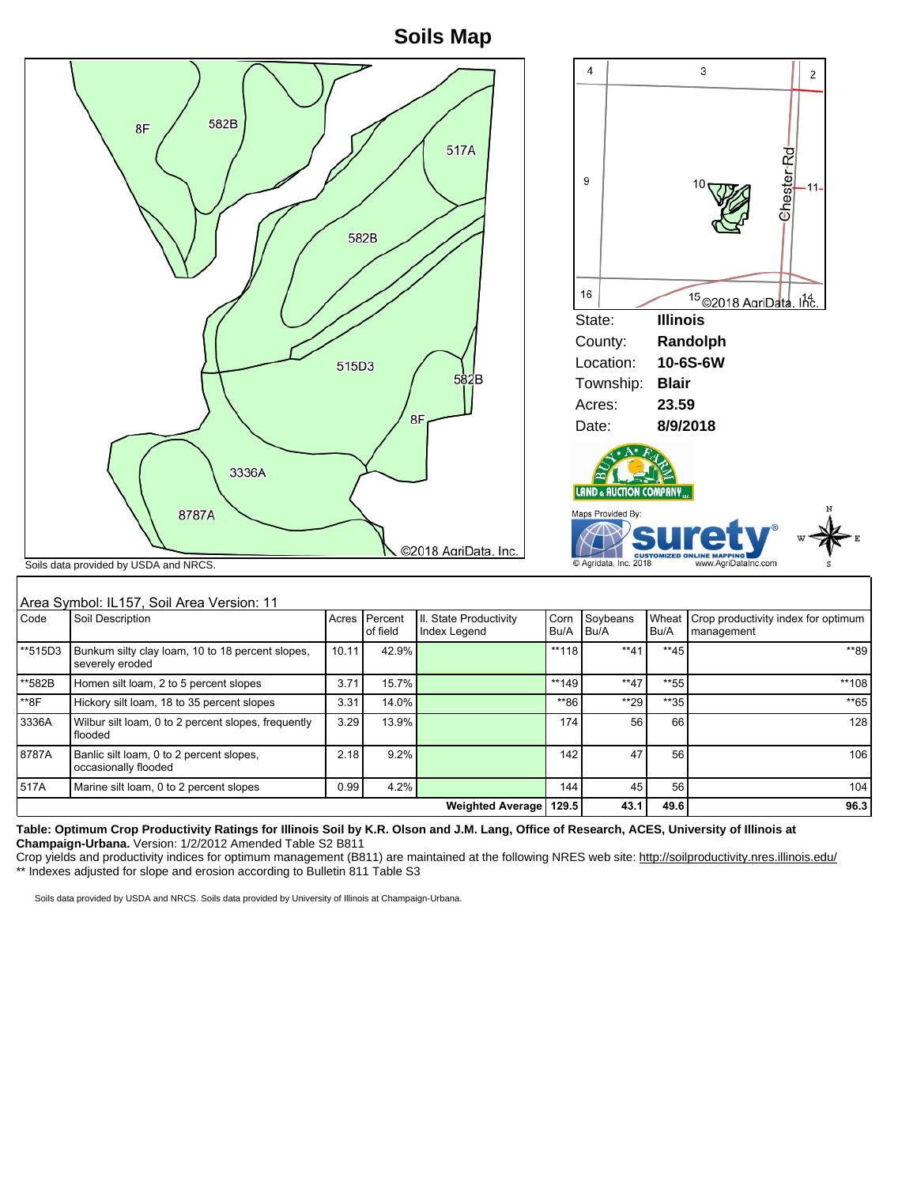## **Soils Map**

|           | 582B<br>8F<br>3336A<br>8787A<br>Soils data provided by USDA and NRCS. | 515D3 | 582B                | 517A<br>582B<br>8F<br>©2018 AgriData, Inc. |                     | 4<br>9<br>16<br>State:<br>County:<br>Location:<br>Township:<br>Acres:<br>Date:<br>LAND & AUCTION COMPANY<br>Maps Provided By:<br>C Agridata, Inc. 2018 | <b>Illinois</b><br><b>Blair</b><br>23.59<br>8/9/2018 | 3<br>2<br>Chester-Rd<br>10<br>$-11-$<br><sup>15</sup> ©2018 AgriData, Inc.<br>Randolph<br>10-6S-6W<br><b>CUSTOMIZED ONLINE MAPPING</b><br>www.AgriDataInc.com |
|-----------|-----------------------------------------------------------------------|-------|---------------------|--------------------------------------------|---------------------|--------------------------------------------------------------------------------------------------------------------------------------------------------|------------------------------------------------------|---------------------------------------------------------------------------------------------------------------------------------------------------------------|
| Code      | Area Symbol: IL157, Soil Area Version: 11<br>Soil Description         | Acres | Percent<br>of field | II. State Productivity<br>Index Legend     | Corn<br>Bu/A        | Soybeans<br>Bu/A                                                                                                                                       | Wheat<br>Bu/A                                        | Crop productivity index for optimum<br>management                                                                                                             |
| $*$ 515D3 | Bunkum silty clay loam, 10 to 18 percent slopes,<br>severely eroded   | 10.11 | 42.9%               |                                            | $\overline{**}$ 118 | $**41$                                                                                                                                                 | $**45$                                               | **89                                                                                                                                                          |
| **582B    | Homen silt loam, 2 to 5 percent slopes                                | 3.71  | 15.7%               |                                            | **149               | $**47$                                                                                                                                                 | $*$ 55                                               | **108                                                                                                                                                         |
|           |                                                                       |       |                     |                                            |                     |                                                                                                                                                        |                                                      |                                                                                                                                                               |

\*8F |Hickory silt loam, 18 to 35 percent slopes | 3.31 | 14.0% | \*\*86 | \*\*29 | \*\*35 | \*\*65 3336A Wilbur silt loam, 0 to 2 percent slopes, frequently flooded 3.29 13.9% 128 128 129 174 56 66 128 8787A Banlic silt loam, 0 to 2 percent slopes, occasionally flooded 2.18 9.2% 106 106 142 47 56 106 517A Marine silt loam, 0 to 2 percent slopes 0.99 4.2% 144 45 56 104 **Weighted Average 129.5 43.1 49.6 96.3**

**Table: Optimum Crop Productivity Ratings for Illinois Soil by K.R. Olson and J.M. Lang, Office of Research, ACES, University of Illinois at Champaign-Urbana.** Version: 1/2/2012 Amended Table S2 B811

Crop yields and productivity indices for optimum management (B811) are maintained at the following NRES web site: http://soilproductivity.nres.illinois.edu/ \*\* Indexes adjusted for slope and erosion according to Bulletin 811 Table S3

Soils data provided by USDA and NRCS. Soils data provided by University of Illinois at Champaign-Urbana.